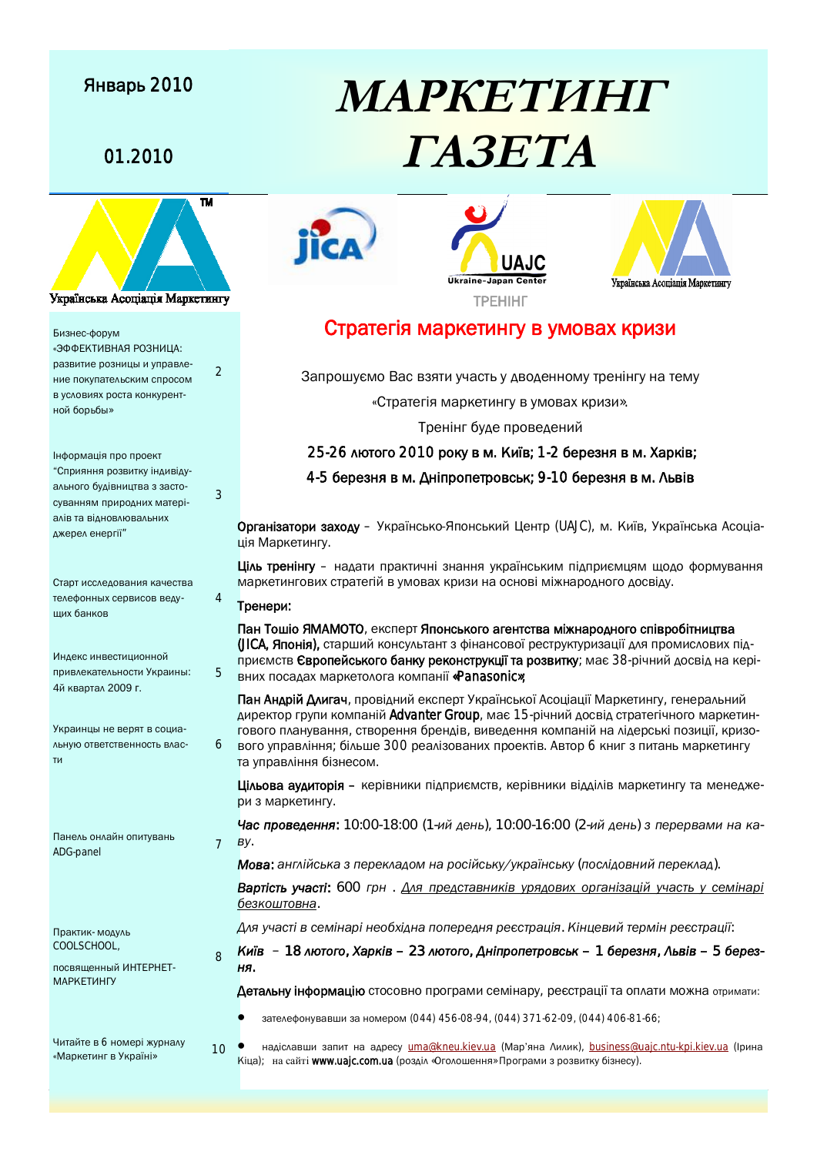## Январь 2010



Бизнес-форум «ЭФФЕКТИВНАЯ РОЗНИЦА: развитие розницы и управление покупательским спросом в условиях роста конкурент-

ной борьбы»

ального оудындтва в саото<br>суванням природних матері-Інформація про проект ´ǝǻǼǴȋǹǹȋǼǺdzǮǴǾǶǿȑǹǰǴǮȑǰǿального будівництва з застоалів та відновлювальних джерел енергії"

Старт исследования качества телефонных сервисов ведуших банков

Инлекс инвестиционной привлекательности Украины: 4й квартал 2009 г.

**Украинны не верят в сониа-**ЛЬНУЮ OTBETCTBEHHOCTЬ BAAC-TИ

Панель онлайн опитувань ттанель онлайн опитувань<br>ADG-panel

Практик- модуль COOLSCHOOL,

посвященный ИНТЕРНЕТ-МАРКЕТИНГУ

Читайте в 6 номері журналу «Маркетинг в Україні»

# **MAPKETVIHIT** 01.2010 **TA3ETA**







## Стратегія маркетингу в умовах кризи

Запрошуємо Вас взяти участь у дводенному тренінгу на тему

«Стратегія маркетингу в умовах кризи».

Тренінг буде проведений

25-26 лютого 2010 року в м. Київ; 1-2 березня в м. Харків;

4-5 березня в м. Дніпропетровськ; 9-10 березня в м. Львів

Організатори заходу – Українсько-Японський Центр (UAJC), м. Київ, Українська Асоціація Маркетингу.

Ціль тренінгу – надати практичні знання українським підприємцям щодо формування МАРКЕТИНГОВИХ СТРАТЕГІЙ В УМОВАХ КРИЗИ НА ОСНОВІ МІЖНАРОДНОГО ДОСВІДУ.

#### Тренери:

 $\mathcal{D}$ 

 $\overline{\mathbf{m}}$ 

3

4

5

6

 $\mathsf{R}$ 

Пан Тошіо ЯМАМОТО, експерт Японського агентства міжнародного співробітництва (JICA, Японія), старший консультант з фінансової реструктуризації для промислових підприємств Європейського банку реконструкції та розвитку; має 38-річний досвід на кері-**ВНИХ ПОСАДАХ МАРКЕТОЛОГА КОМПАНІЇ «Panasonic»;** 

Пан Андрій Длигач, провідний експерт Української Асоціації Маркетингу, генеральний директор групи компаній Advanter Group, має 15-річний досвід стратегічного маркетингового планування, створення брендів, виведення компаній на лідерські позиції, кризового управління; більше 300 реалізованих проектів. Автор 6 книг з питань маркетингу та управління бізнесом.

Цільова аудиторія – керівники підприємств, керівники відділів маркетингу та менеджери з маркетингу.

Час проведення: 10:00-18:00 (1-ий день), 10:00-16:00 (2-ий день) з перервами на ка- $BY.$ 

**Мова**: англійська з перекладом на російську/українську (послідовний переклад).

**Вартість участі:** 600 грн. Для представників урядових організацій участь у семінарі  $6e$ зкоштовна.

 $\Delta$ дя участі в семінарі необхідна попередня реєстрація. Кінцевий термін реєстрації:

*ǖǴȒǮ – 18 ǷȊǾǺǯǺ, ǡǬǼǶȑǮ – 23 ǷȊǾǺǯǺ, ǐǹȑǻǼǺǻDZǾǼǺǮǽȈǶ – 1 ǭDZǼDZdzǹȋ, ǗȈǮȑǮ – 5 ǭDZǼDZdz-* $H\mathbf{F}$ .

Детальну інформацію стосовно програми семінару, реєстрації та оплати можна отримати:

зателефонувавши за номером (044) 456-08-94, (044) 371-62-09, (044) 406-81-66;

 $1<sub>0</sub>$ • надіславши запит на адресу <u>[uma@kneu.kiev.ua](mailto:uma@kneu.kiev.ua)</u> (Мар'яна Лилик), [business@uajc.ntu-kpi.kiev.ua](mailto:business@uajc.ntu-kpi.kiev.ua) (Ірина Кіца); на сайті [www.uajc.com.ua](http://www.uajc.com.ua) (розділ «Оголошення» Програми з розвитку бізнесу).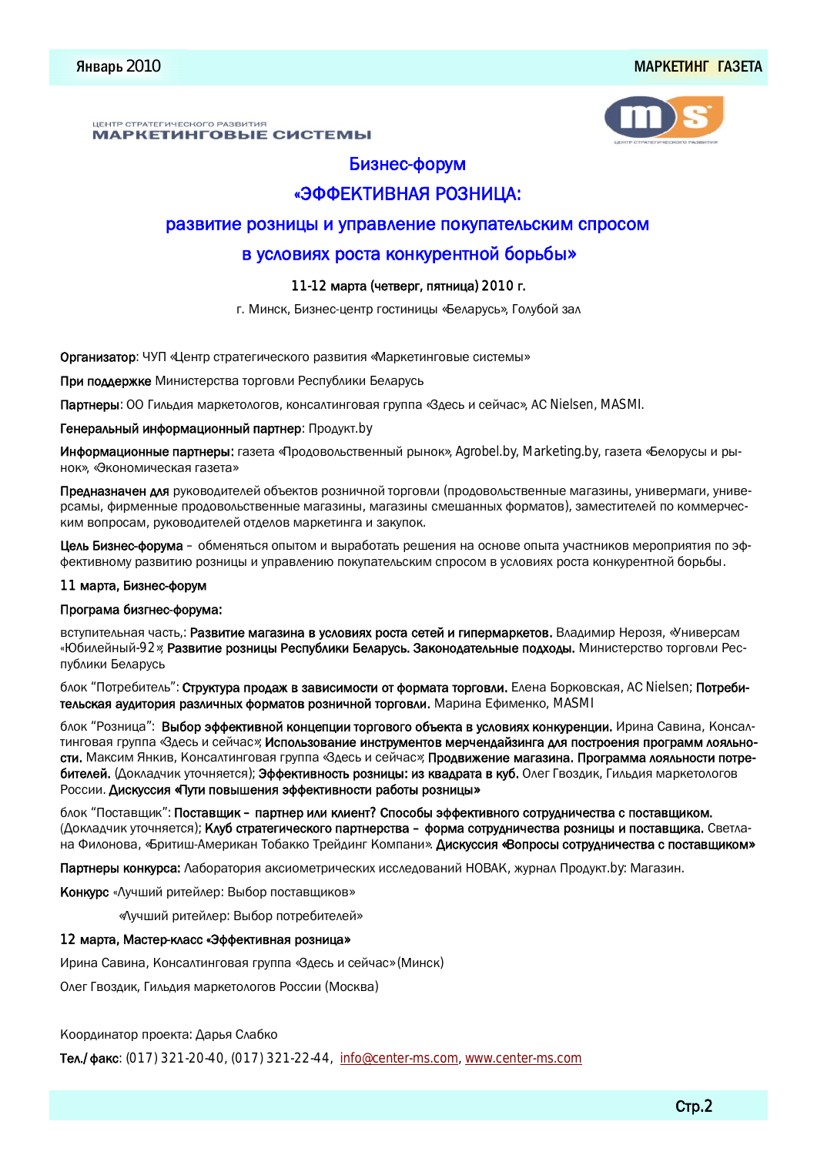#### ЦЕНТР СТРАТЕГИЧЕСКОГО РАЗВИТИЯ МАРКЕТИНГОВЫЕ СИСТЕМЫ

#### Бизнес-форум

## «ЭФФЕКТИВНАЯ РОЗНИЦА:

#### развитие розницы и управление покупательским спросом

#### в условиях роста конкурентной борьбы»

#### 11-12 марта (четверг, пятница) 2010 г.

г. Минск, Бизнес-центр гостиницы «Беларусь», Голубой зал

#### Организатор: ЧУП «Центр стратегического развития «Маркетинговые системы»

При поддержке Министерства торговли Республики Беларусь

Партнеры: ОО Гильдия маркетологов, консалтинговая группа «Здесь и сейчас», AC Nielsen, MASMI.

#### Генеральный информационный партнер: Продукт.by

Информационные партнеры: газета «Продовольственный рынок», Agrobel.by, Marketing.by, газета «Белорусы и рынок», «Экономическая газета»

Предназначен для руководителей объектов розничной торговли (продовольственные магазины, универмаги, универсамы, фирменные продовольственные магазины, магазины смешанных форматов), заместителей по коммерческим вопросам, руководителей отделов маркетинга и закупок.

Цель Бизнес-форума – обменяться опытом и выработать решения на основе опыта участников мероприятия по эффективному развитию розницы и управлению покупательским спросом в условиях роста конкурентной борьбы.

#### 11 марта, Бизнес-форум

#### Програма бизгнес-форума:

вступительная часть,: Развитие магазина в условиях роста сетей и гипермаркетов. Владимир Нерозя, «Универсам «Юбилейный-92»; Развитие розницы Республики Беларусь. Законодательные подходы. Министерство торговли Республики Беларусь

блок "Потребитель": Структура продаж в зависимости от формата торговли. Елена Борковская, AC Nielsen; Потребительская аудитория различных форматов розничной торговли. Марина Ефименко, MASMI

блок "Розница": Выбор эффективной концепции торгового объекта в условиях конкуренции. Ирина Савина, Консалтинговая группа «Здесь и сейчас»; Использование инструментов мерчендайзинга для построения программ лояльности. Максим Янкив, Консалтинговая группа «Здесь и сейчас»; Продвижение магазина. Программа лояльности потребителей. (Докладчик уточняется); Эффективность розницы: из квадрата в куб. Олег Гвоздик, Гильдия маркетологов России. Дискуссия «Пути повышения эффективности работы розницы»

блок "Поставщик": Поставщик - партнер или клиент? Способы эффективного сотрудничества с поставщиком. (Докладчик уточняется); Клуб стратегического партнерства – форма сотрудничества розницы и поставщика. Светлана Филонова, «Бритиш-Американ Тобакко Трейдинг Компани». Дискуссия «Вопросы сотрудничества с поставщиком»

Партнеры конкурса: Лаборатория аксиометрических исследований НОВАК, журнал Продукт.by: Магазин.

Конкурс «Лучший ритейлер: Выбор поставщиков»

«Лучший ритейлер: Выбор потребителей»

#### 12 марта, Мастер-класс «Эффективная розница»

Ирина Савина, Консалтинговая группа «Здесь и сейчас» (Минск)

Олег Гвоздик, Гильдия маркетологов России (Москва)

#### Координатор проекта: Дарья Слабко

Ten./ $\phi$ akc: (017) 321-20-40, (017) 321-22-44, [info@center-ms.com](mailto:info@center-ms.com), [www.center-ms.com](http://www.center-ms.com)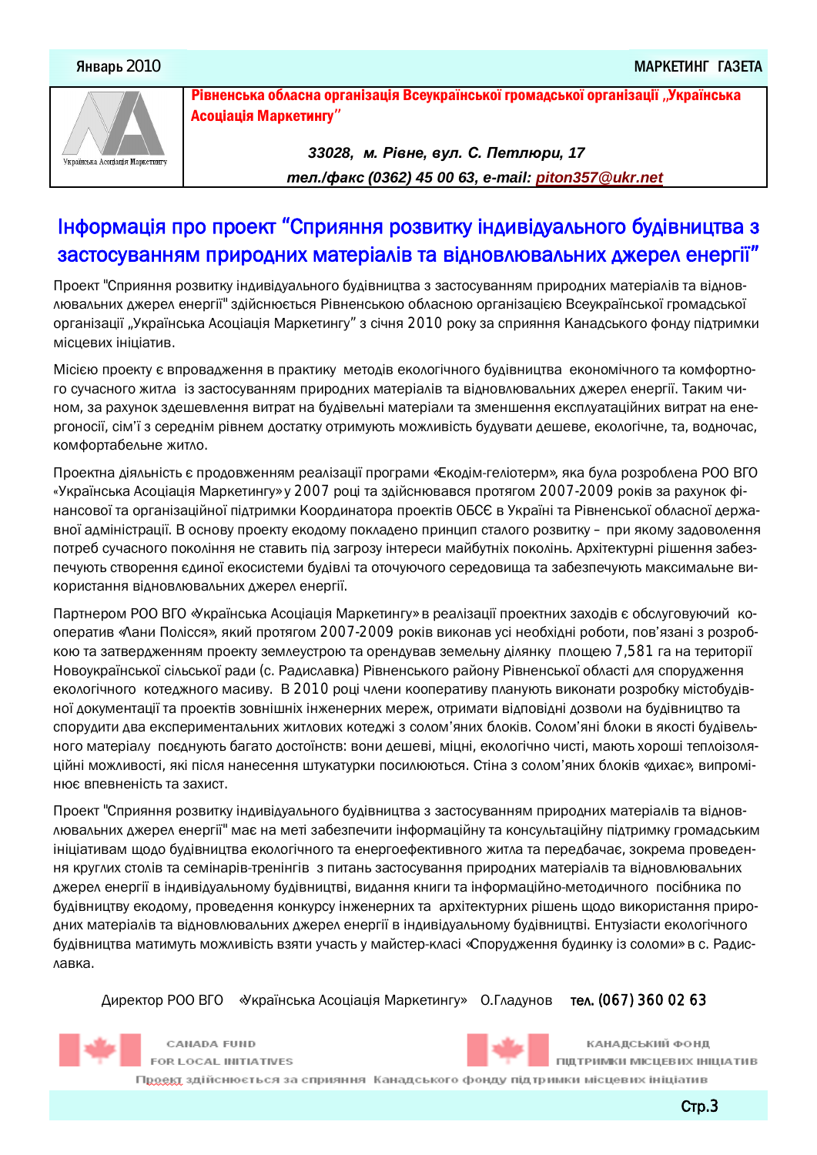

Рівненська обласна організація Всеукраїнської громадської організації "Українська Асоціація Маркетингу"

> *33028, ɦ. Ɋɿɜɧɟ, ɜɭɥ. ɋ. ɉɟɬɥɸɪɢ, 17 ɬɟɥ./ɮɚɤɫ (0362) 45 00 63, e-mail: [piton357@ukr.net](mailto:piton357@ukr.net)*

## Інформація про проект "Сприяння розвитку індивідуального будівництва з застосуванням природних матеріалів та відновлювальних джерел енергії"

Проект "Сприяння розвитку індивідуального будівництва з застосуванням природних матеріалів та відновлювальних джерел енергії" здійснюється Рівненською обласною організацією Всеукраїнської громадської організації "Українська Асоціація Маркетингу" з січня 2010 року за сприяння Канадського фонду підтримки місцевих ініціатив.

Місією проекту є впровадження в практику методів екологічного будівництва економічного та комфортного сучасного житла из застосуванням природних матеріалів та відновлювальних джерел енергії. Таким чином, за рахунок здешевлення витрат на будівельні матеріали та зменшення експлуатаційних витрат на енергоносії, сім'ї з середнім рівнем достатку отримують можливість будувати дешеве, екологічне, та, водночас, комфортабельне житло.

Проектна діяльність є продовженням реалізації програми «Екодім-геліотерм», яка була розроблена РОО ВГО «Українська Асоціація Маркетингу» у 2007 році та здійснювався протягом 2007-2009 років за рахунок фінансової та організаційної підтримки Координатора проектів ОБСЄ в Україні та Рівненської обласної державної адміністрації. В основу проекту екодому покладено принцип сталого розвитку – при якому задоволення потреб сучасного покоління не ставить під загрозу інтереси майбутніх поколінь. Архітектурні рішення забезпечують створення єдиної екосистеми будівлі та оточуючого середовища та забезпечують максимальне використання відновлювальних джерел енергії.

Партнером РОО ВГО «Українська Асоціація Маркетингу» в реалізації проектних заходів є обслуговуючий кооператив «Лани Полісся», який протягом 2007-2009 років виконав усі необхідні роботи, пов'язані з розробкою та затвердженням проекту землеустрою та орендував земельну ділянку площею 7,581 га на території Новоукраїнської сільської ради (с. Радиславка) Рівненського району Рівненської області для спорудження екологічного котеджного масиву. В 2010 році члени кооперативу планують виконати розробку містобудівної документації та проектів зовнішніх інженерних мереж, отримати відповідні дозволи на будівництво та спорудити два експериментальних житлових котеджі з солом'яних блоків. Солом'яні блоки в якості будівель-НОГО МАТЕРІАЛУ ПОЄДНУЮТЬ ОДГАЗ ДОСТОЇНСТВ: ВОНИ ДЕШЕВІ, МІЦНІ, ЕКОЛОГІЧНО ЧИСТІ, МАЮТЬ ХОРОШІ ТЕПЛОІЗОЛЯційні можливості, які після нанесення штукатурки посилюються. Стіна з солом'яних блоків «дихає», випромінює впевненість та захист.

Проект "Сприяння розвитку індивідуального будівництва з застосуванням природних матеріалів та відновлювальних джерел енергії" має на меті забезпечити інформаційну та консультаційну підтримку громадським ініціативам щодо будівництва екологічного та енергоефективного житла та передбачає, зокрема проведення круглих столів та семінарів-тренінгів з питань застосування природних матеріалів та відновлювальних джерел енергії в індивідуальному будівництві, видання книги та інформаційно-методичного посібника по будівництву екодому, проведення конкурсу інженерних та архітектурних рішень щодо використання природних матеріалів та відновлювальних джерел енергії в індивідуальному будівництві. Ентузіасти екологічного будівництва матимуть можливість взяти участь у майстер-класі «Спорудження будинку із соломи» в с. Радиславка.

Директор РОО ВГО «Українська Асоціація Маркетингу» О.Гладунов тел. (067) 360 02 63



КАНАДСЬКИЙ ФОНД ПІДТРИМКИ МІСЦЕВИХ ІНІЦІАТИВ

FOR LOCAL INITIATIVES

CANADA FUND



П<u>роект</u> здійснюється за сприяння Канадського фонду підтримки місцевих ініціатив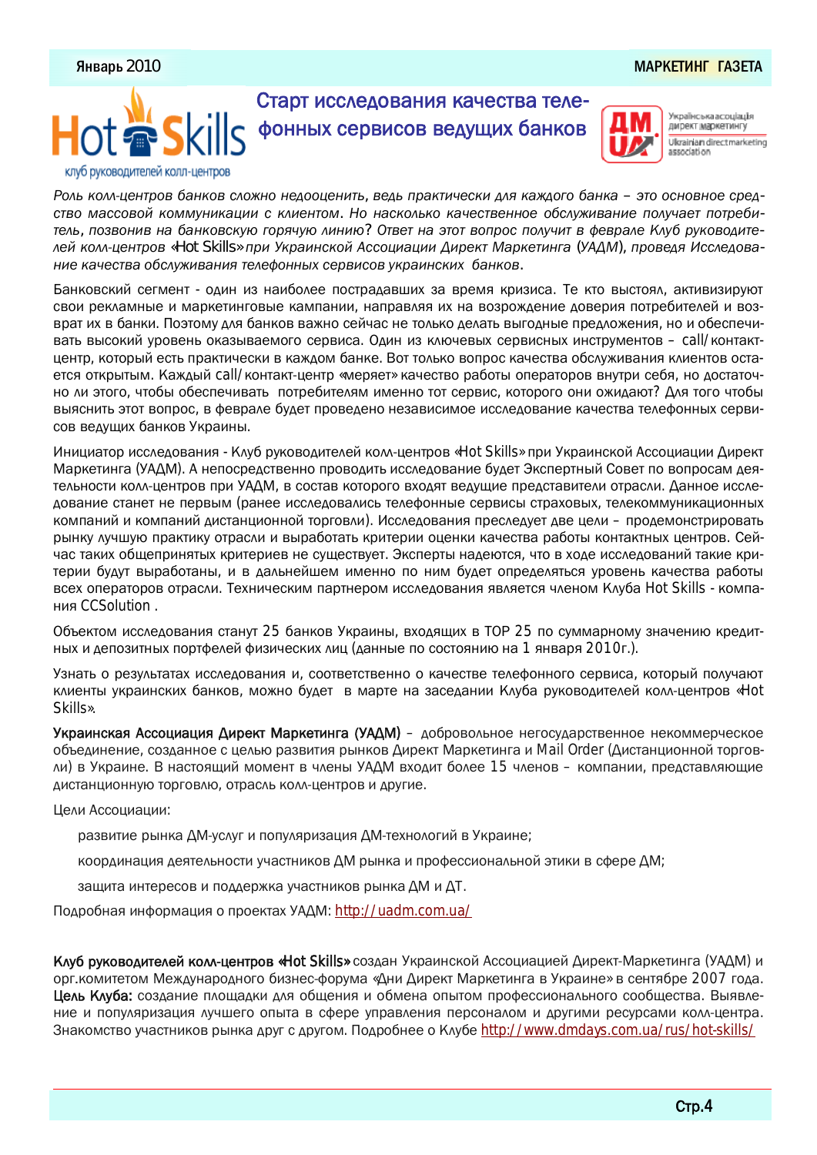#### Январь 2010 ́олу је ставио је ставио је ставио је ставио је ставио је ставио је ставио је ставио марк<mark>етинг газета</mark>



Українська асоціація директ маркетингу Ukrainian direct marketing

*ǜǺǷȈǶǺǷǷȂDZǹǾǼǺǮǭǬǹǶǺǮǽǷǺDzǹǺǹDZǰǺǺȂDZǹǴǾȈ, ǮDZǰȈǻǼǬǶǾǴȃDZǽǶǴǰǷȋǶǬDzǰǺǯǺǭǬǹǶǬ – ȉǾǺǺǽǹǺǮǹǺDZǽǼDZǰ*ство массовой коммуникации с клиентом. Но насколько качественное обслуживание получает потребитель, позвонив на банковскую горячую линию? Ответ на этот вопрос получит в феврале Клуб руководителей колл-центров «Hot Skills» при Украинской Ассоциации Директ Маркетинга (УАДМ), проведя Исследова*ǹǴDZǶǬȃDZǽǾǮǬǺǭǽǷǿDzǴǮǬǹǴȋǾDZǷDZȀǺǹǹȇȁǽDZǼǮǴǽǺǮǿǶǼǬǴǹǽǶǴȁ ǭǬǹǶǺǮ.*

Банковский сегмент - один из наиболее пострадавших за время кризиса. Те кто выстоял, активизируют свои рекламные и маркетинговые кампании, направляя их на возрождение доверия потребителей и возврат их в банки. Поэтому для банков важно сейчас не только делать выгодные предложения, но и обеспечивать высокий уровень оказываемого сервиса. Один из ключевых сервисных инструментов - call/контакт-ДЕНТО, КОТООЫЙ ЕСТЬ ПОДКТИЧЕСКИ В КАЖДОМ бАНКЕ. ВОТ ТОЛЬКО ВОПРОС КАЧЕСТВА ОбСЛУЖИВАНИЯ КЛИЕНТОВ ОСТАется открытым. Каждый call/контакт-центр «меряет» качество работы операторов внутри себя, но достаточно ли этого, чтобы обеспечивать потребителям именно тот сервис, которого они ожидают? Для того чтобы выяснить этот вопрос, в феврале будет проведено независимое исследование качества телефонных сервисов ведущих банков Украины.

Инициатор исследования - Клуб руководителей колл-центров «Hot Skills» при Украинской Ассоциации Директ Маркетинга (УАДМ). А непосредственно проводить исследование будет Экспертный Совет по вопросам деятельности колл-центров при УАДМ, в состав которого входят ведущие представители отрасли. Данное иссле-ДОВАНИЕ СТАНЕТ НА ПА ДА ДА ДА ДА ДА ДА ДА ОСЛАДАВАЛИ СА ДОДОВНОВА ДОДА ДА ДО ДА ДА ДА ДА ДА ДА ДА ДА ДА ДА ДА компаний и компаний дистанционной торговли). Исследования преследует две цели – продемонстрировать рынку лучшую практику отрасли и выработать критерии оценки качества работы контактных центров. Сейчас таких общепринятых критериев не существует. Эксперты надеются, что в ходе исследований такие критерии будут выработаны, и в дальнейшем именно по ним будет определяться уровень качества работы всех операторов отрасли. Техническим партнером исследования является членом Клуба Hot Skills - компания CCSolution .

Объектом исследования станут 25 банков Украины, входящих в ТОР 25 по суммарному значению кредитных и депозитных портфелей физических лиц (данные по состоянию на 1 января 2010г.).

Узнать о результатах исследования и, соответственно о качестве телефонного сервиса, который получают клиенты украинских банков, можно будет в марте на заседании Клуба руководителей колл-центров «Hot Skills».

Украинская Ассоциация Директ Маркетинга (УАДМ) – добровольное негосударственное некоммерческое объединение, созданное с целью развития рынков Директ Маркетинга и Mail Order (Дистанционной торговли) в Украине. В настоящий момент в члены УАДМ входит более 15 членов – компании, представляющие ДИСТАНЦИОННУЮ ТОРГОВЛЮ, ОТРАСЛЬ КОЛЛ-ЦЕНТРОВ И ДРУГИЕ.

Цели Ассоциации:

развитие рынка ДМ-услуг и популяризация ДМ-технологий в Украине;

координация деятельности участников ДМ рынка и профессиональной этики в сфере ДМ;

защита интересов и поддержка участников рынка ДМ и ДТ.

Подробная информация о проектах УАДМ: <http://uadm.com.ua/>

Клуб руководителей колл-центров «Hot Skills» создан Украинской Ассоциацией Директ-Маркетинга (УАДМ) и орг. комитетом Международного бизнес-форума «Дни Директ Маркетинга в Украине» в сентябре 2007 года. Цель Клуба: создание площадки для общения и обмена опытом профессионального сообщества. Выявление и популяризация лучшего опыта в сфере управления персоналом и другими ресурсами колл-центра. Знакомство участников рынка друг с другом. Подробнее о Клубе <http://www.dmdays.com.ua/rus/hot-skills/>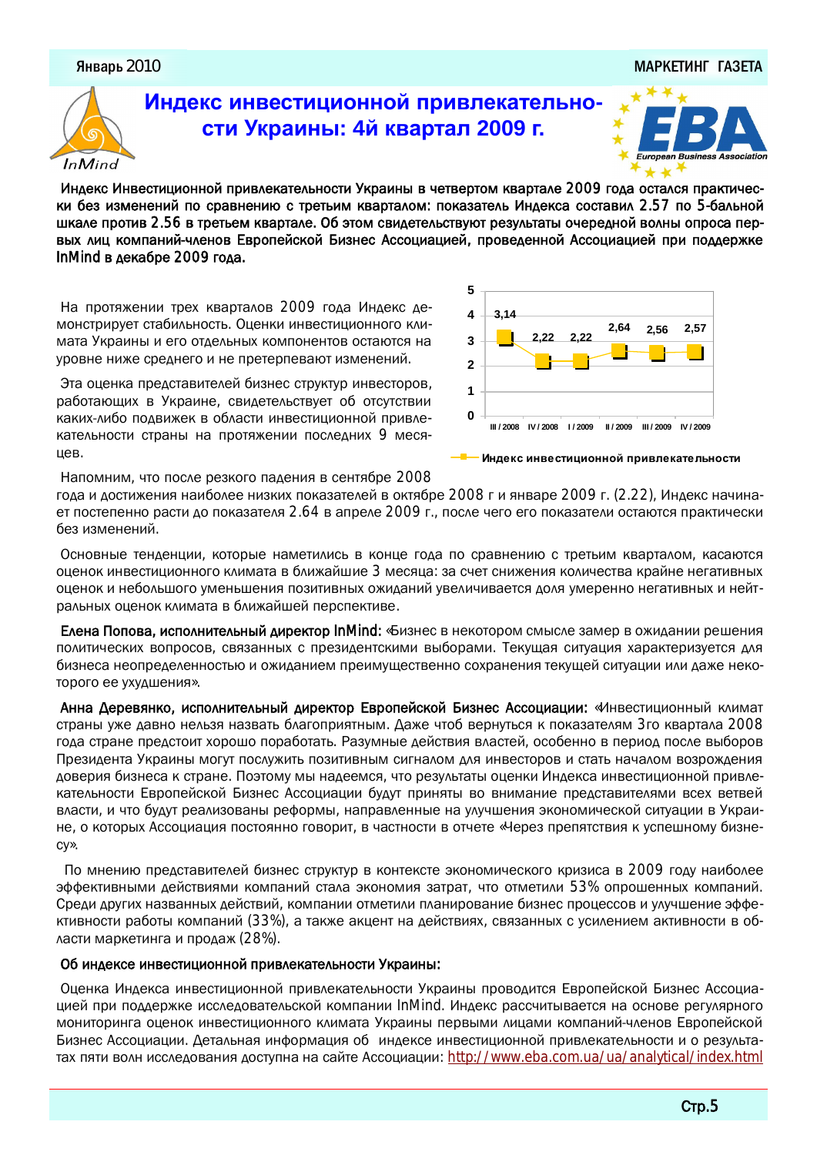#### Январь 2010

#### МАРКЕТИНГ ГАЗЕТА



## Индекс инвестиционной привлекательно- $$



Индекс Инвестиционной привлекательности Украины в четвертом квартале 2009 года остался практически без изменений по сравнению с третьим кварталом: показатель Индекса составил 2.57 по 5-бальной ШКАЛ ПРОТИВ 2.56 В ТРЕТЬЕМ КВАРТАЛЕ. Об ЭТОМ СВИДЕТЕЛЬСТВУЮТ РЕЗУЛЬТАТЫ ОЧЕРЕДНОЙ ВОЛНЫ ОПРОСА ПЕРвых лиц компаний-членов Европейской Бизнес Ассоциацией, проведенной Ассоциацией при поддержке InMind в декабре 2009 года.

На протяжении трех кварталов 2009 года Индекс демонстрирует стабильность. Оценки инвестиционного климата Украины и его отдельных компонентов остаются на уровне ниже среднего и не претерпевают изменений.

Эта оценка представителей бизнес структур инвесторов, работающих в Украине, свидетельствует об отсутствии каких-либо подвижек в области инвестиционной привлекательности страны на протяжении последних 9 месяцев.

Напомним, что после резкого падения в сентябре 2008



Индекс инвестиционной привлекательности

года и достижения наиболее низких показателей в октябре 2008 г и январе 2009 г. (2.22), Индекс начинает постепенно расти до показателя 2.64 в апреле 2009 г., после чего его показатели остаются практически без изменений.

Основные тенденции, которые наметились в конце года по сравнению с третьим кварталом, касаются оценок инвестиционного климата в ближайшие 3 месяца: за счет снижения количества крайне негативных ОЦенок и небольшого уменьшения позитивных ожиданий увеличивается доля умеренно негативных и нейтральных оценок климата в ближайшей перспективе.

Елена Попова, исполнительный директор InMind: «Бизнес в некотором смысле замер в ожидании решения политических вопросов, связанных с президентскими выборами. Текущая ситуация характеризуется для бизнеса неопределенностью и ожиданием преимущественно сохранения текущей ситуации или даже некоторого ее ухудшения».

Анна Деревянко, исполнительный директор Европейской Бизнес Ассоциации: «Инвестиционный климат страны уже давно нельзя назвать благоприятным. Даже чтоб вернуться к показателям 3го квартала 2008 года стране предстоит хорошо поработать. Разумные действия властей, особенно в период после выборов Президента Украины могут послужить позитивным сигналом для инвесторов и стать началом возрождения доверия бизнеса к стране. Поэтому мы надеемся, что результаты оценки Индекса инвестиционной привле-КАТЕЛЬНОСТИ ЕВРОПЕЙСКОЙ БИЗНЕС АССОЦИАЦИИ бУДУТ ПРИНЯТЫ ВО ВНИМАНИЕ ПРЕДСТАВИТЕЛЯМИ ВСЕХ ВЕТВЕЙ власти, и что будут реализованы реформы, направленные на улучшения экономической ситуации в Украине, о которых Ассоциация постоянно говорит, в частности в отчете «Через препятствия к успешному бизнеcy».

По мнению представителей бизнес структур в контексте экономического кризиса в 2009 году наиболее эффективными действиями компаний стала экономия затрат, что отметили 53% опрошенных компаний. Среди других названных действий, компании отметили планирование бизнес процессов и улучшение эффективности работы компаний (33%), а также акцент на действиях, связанных с усилением активности в области маркетинга и продаж (28%).

#### Об индексе инвестиционной привлекательности Украины:

Оценка Индекса инвестиционной привлекательности Украины проводится Европейской Бизнес Ассоциацией при поддержке исследовательской компании InMind. Индекс рассчитывается на основе регулярного мониторинга оценок инвестиционного климата Украины первыми лицами компаний-членов Европейской Бизнес Ассоциации. Детальная информация об индексе инвестиционной привлекательности и о результатах пяти волн исследования доступна на сайте Ассоциации: <http://www.eba.com.ua/ua/analytical/index.html>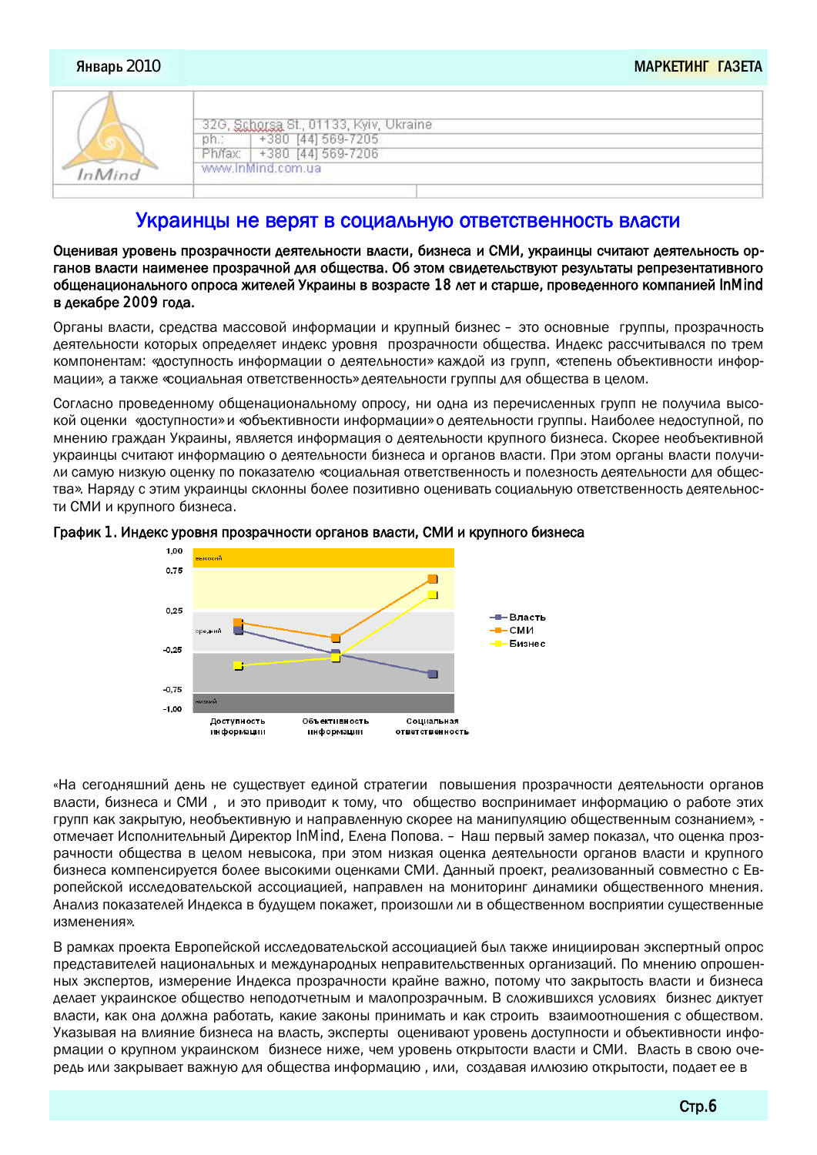| Schotsa St., 01133, Kyiv, Ukraine<br>+380 [44] 569-7205<br>+380 [44] 569-7206<br>www.inMind.com.ua |
|----------------------------------------------------------------------------------------------------|
|                                                                                                    |

## Украинцы не верят в социальную ответственность власти

Оценивая уровень прозрачности деятельности власти, бизнеса и СМИ, украинцы считают деятельность органов власти наименее прозрачной для общества. Об этом свидетельствуют результаты репрезентативного общенационального опроса жителей Украины в возрасте 18 лет и старше, проведенного компанией InMind в декабре 2009 года.

Органы власти, средства массовой информации и крупный бизнес – это основные группы, прозрачность Деятельности которых определяет индекс уровня прозрачности общества. Индекс рассчитывался по трем КОМПОНЕНТАМ: «ДОСТУПНОСТЬ ИНФОРМАЦИИ О ДЕЯТЕЛЬНОСТИ» КАЖДОЙ ИЗ ГРУПП, «СТЕПЕНЬ ОбЪЕКТИВНОСТИ ИНФОРмации», а также «социальная ответственность» деятельности группы для общества в целом.

Согласно проведенному общенациональному опросу, ни одна из перечисленных групп не получила высокой оценки «доступности» и «объективности информации» о деятельности группы. Наиболее недоступной, по мнению граждан Украины, является информация о деятельности крупного бизнеса. Скорее необъективной украинцы считают информацию о деятельности бизнеса и органов власти. При этом органы власти получи-ЛИ САМУЮ НИЗКУЮ ОЦЕНКУ ПО ПОКАЗАТЕЛЮ «СОЦИАЛЬНАЯ ОТВЕТСТВЕННОСТЬ И ПОЛЕЗНОСТЬ ДЕЯТЕЛЬНОСТИ ДЛЯ ОбЩЕСтва». Наряду с этим украинцы склонны более позитивно оценивать социальную ответственность деятельности СМИ и крупного бизнеса.





«На сегодняшний день не существует единой стратегии повышения прозрачности деятельности органов власти, бизнеса и СМИ, и это приводит к тому, что общество воспринимает информацию о работе этих групп как закрытую, необъективную и направленную скорее на манипуляцию общественным сознанием», отмечает Исполнительный Директор InMind, Елена Попова. – Наш первый замер показал, что оценка прозрачности общества в целом невысока, при этом низкая оценка деятельности органов власти и крупного бизнеса компенсируется более высокими оценками СМИ. Данный проект, реализованный совместно с Европейской исследовательской ассоциацией, направлен на мониторинг динамики общественного мнения. Анализ показателей Индекса в будущем покажет, произошли ли в общественном восприятии существенные изменения»

В рамках проекта Европейской исследовательской ассоциацией был также инициирован экспертный опрос представителей национальных и международных неправительственных организаций. По мнению опрошенных экспертов, измерение Индекса прозрачности крайне важно, потому что закрытость власти и бизнеса делает украинское общество неподотчетным и малопрозрачным. В сложившихся условиях бизнес диктует власти, как она должна работать, какие законы принимать и как строить взаимоотношения с обществом. Указывая на влияние бизнеса на власть, эксперты оценивают уровень доступности и объективности информации о крупном украинском бизнесе ниже, чем уровень открытости власти и СМИ. Власть в свою очередь или закрывает важную для общества информацию, или, создавая иллюзию открытости, подает ее в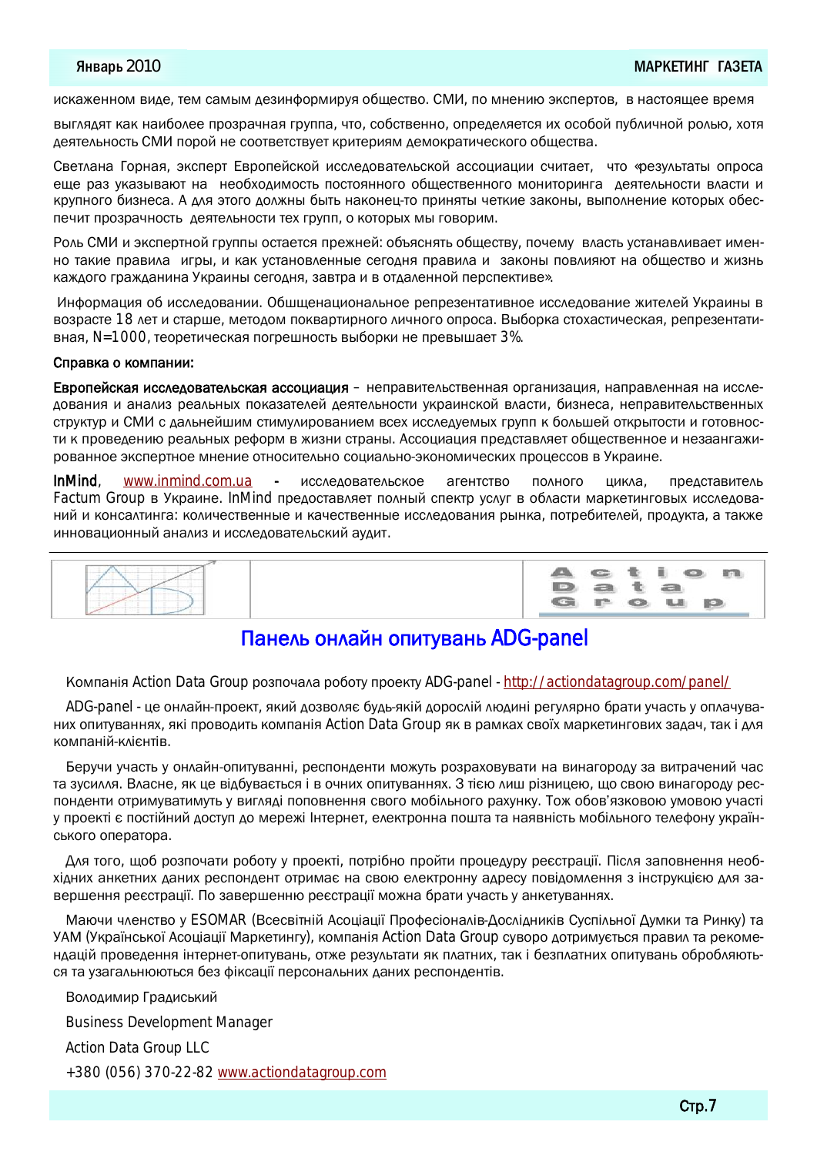искаженном виде, тем самым дезинформируя общество. СМИ, по мнению экспертов, в настоящее время

выглядят как наиболее прозрачная группа, что, собственно, определяется их особой публичной ролью, хотя деятельность СМИ порой не соответствует критериям демократического общества.

Светлана Горная, эксперт Европейской исследовательской ассоциации считает, что «результаты опроса еще раз указывают на необходимость постоянного общественного мониторинга деятельности власти и крупного бизнеса. А для этого должны быть наконец-то приняты четкие законы, выполнение которых обеспечит прозрачность деятельности тех групп, о которых мы говорим.

Роль СМИ и экспертной группы остается прежней: объяснять обществу, почему власть устанавливает именно такие правила игры, и как установленные сегодня правила и законы повлияют на общество и жизнь каждого гражданина Украины сегодня, завтра и в отдаленной перспективе».

Информация об исследовании. Обшщенациональное репрезентативное исследование жителей Украины в возрасте 18 лет и старше, методом поквартирного личного опроса. Выборка стохастическая, репрезентативная, N=1000, теоретическая погрешность выборки не превышает 3%.

#### Справка о компании:

**Европейская исследовательская ассоциация** – неправительственная организация, направленная на исследования и анализ реальных показателей деятельности украинской власти, бизнеса, неправительственных структур и СМИ с дальнейшим стимулированием всех исследуемых групп к большей открытости и готовности к проведению реальных реформ в жизни страны. Ассоциация представляет общественное и незаангажированное экспертное мнение относительно социально-экономических процессов в Украине.

InMind, www.inmind.com.ua - исследовательское агентство полного цикла, представитель Factum Group в Украине. InMind предоставляет полный спектр услуг в области маркетинговых исследований и консалтинга: количественные и качественные исследования рынка, потребителей, продукта, а также инновационный анализ и исследовательский аудит.

| ____<br>---                    | $-$ ctio |           |          | 图ra. |
|--------------------------------|----------|-----------|----------|------|
|                                | a        |           | a<br>$-$ |      |
| the company of the com-<br>___ | r        | $\bullet$ |          | p    |

## Панель онлайн опитувань ADG-panel

Компанія Action Data Group розпочала роботу проекту ADG-panel - <http://actiondatagroup.com/panel/>

ADG-panel - це онлайн-проект, який дозволяє будь-якій дорослій людині регулярно брати участь у оплачуваних опитуваннях, які проводить компанія Action Data Group як в рамках своїх маркетингових задач, так і для компаній-клієнтів.

Беручи участь у онлайн-опитуванні, респонденти можуть розраховувати на винагороду за витрачений час та зусилля. Власне, як це відбувається і в очних опитуваннях. З тією лиш різницею, що свою винагороду респонденти отримуватимуть у вигляді поповнення свого мобільного рахунку. Тож обов'язковою умовою участі у проекті є постійний доступ до мережі Інтернет, електронна пошта та наявність мобільного телефону українського оператора.

Для того, щоб розпочати роботу у проекті, потрібно пройти процедуру реєстрації. Після заповнення необхідних анкетних даних респондент отримає на свою електронну адресу повідомлення з інструкцією для завершення реєстрації. По завершенню реєстрації можна брати участь у анкетуваннях.

Маючи членство у ESOMAR (Всесвітній Асоціації Професіоналів-Дослідників Суспільної Думки та Ринку) та УАМ (Української Асоціації Маркетингу), компанія Action Data Group суворо дотримується правил та рекомендацій проведення інтернет-опитувань, отже результати як платних, так і безплатних опитувань обробляються та узагальнюються без фіксації персональних даних респондентів.

Володимир Градиський

Business Development Manager

Action Data Group LLC

+380 (056) 370-22-82 [www.actiondatagroup.com](http://www.actiondatagroup.com)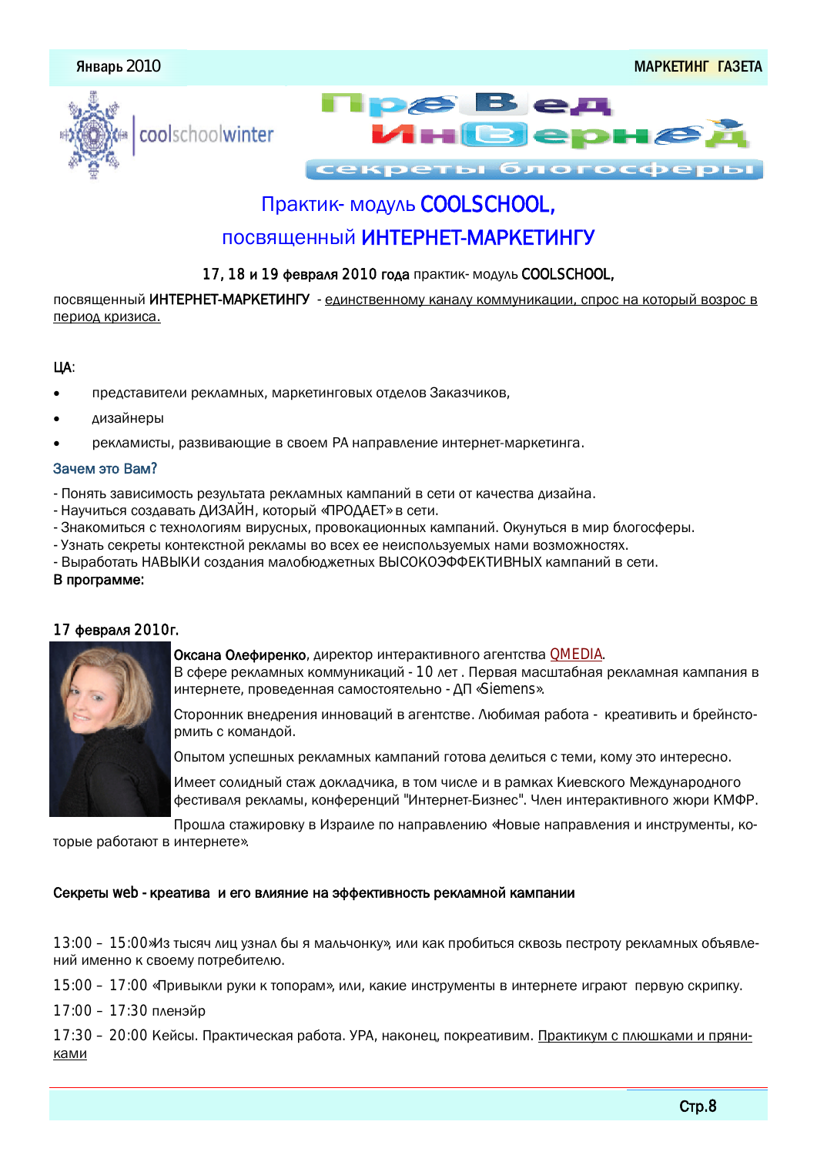





секреты блогосфе

## Практик- модуль COOLSCHOOL,

## ПОСВЯШЕННЫЙ ИНТЕРНЕТ-МАРКЕТИНГУ

#### 17, 18 и 19 февраля 2010 года практик- модуль COOLSCHOOL,

посвященный ИНТЕРНЕТ-МАРКЕТИНГУ - единственному каналу коммуникации, спрос на который возрос в период кризиса.

#### ЦA:

- представители рекламных, маркетинговых отделов Заказчиков,
- дизайнеры
- рекламисты, развивающие в своем РА направление интернет-маркетинга.

#### Зачем это Вам?

- Понять зависимость результата рекламных кампаний в сети от качества дизайна.
- Научиться создавать ДИЗАЙН, который «ПРОДАЕТ» в сети.
- Знакомиться с технологиям вирусных, провокационных кампаний. Окунуться в мир блогосферы.
- Узнать секреты контекстной рекламы во всех ее неиспользуемых нами возможностях.
- Выработать НАВЫКИ создания малобюджетных ВЫСОКОЭФФЕКТИВНЫХ кампаний в сети.

#### В программе:



#### 17 февраля 2010г.

Оксана Олефиренко, директор интерактивного агентства QMEDIA. В сфере рекламных коммуникаций - 10 лет. Первая масштабная рекламная кампания в интернете, проведенная самостоятельно - ДП «Siemens».

Сторонник внедрения инноваций в агентстве. Любимая работа - креативить и брейнстормить с команлой.

Опытом успешных рекламных кампаний готова делиться с теми, кому это интересно.

Имеет солидный стаж докладчика, в том числе и в рамках Киевского Международного фестиваля рекламы, конференций "Интернет-Бизнес". Член интерактивного жюри КМФР.

Прошла стажировку в Израиле по направлению «Новые направления и инструменты, которые работают в интернете».

#### Секреты web - креатива и его влияние на эффективность рекламной кампании

13:00 – 15:00»Из тысяч лиц узнал бы я мальчонку», или как пробиться сквозь пестроту рекламных объявлений именно к своему потребителю.

15:00 – 17:00 «Привыкли руки к топорам», или, какие инструменты в интернете играют первую скрипку.

17:00 - 17:30 пленэйр

17:30 – 20:00 Кейсы. Практическая работа. УРА, наконец, покреативим. Практикум с плюшками и пряниками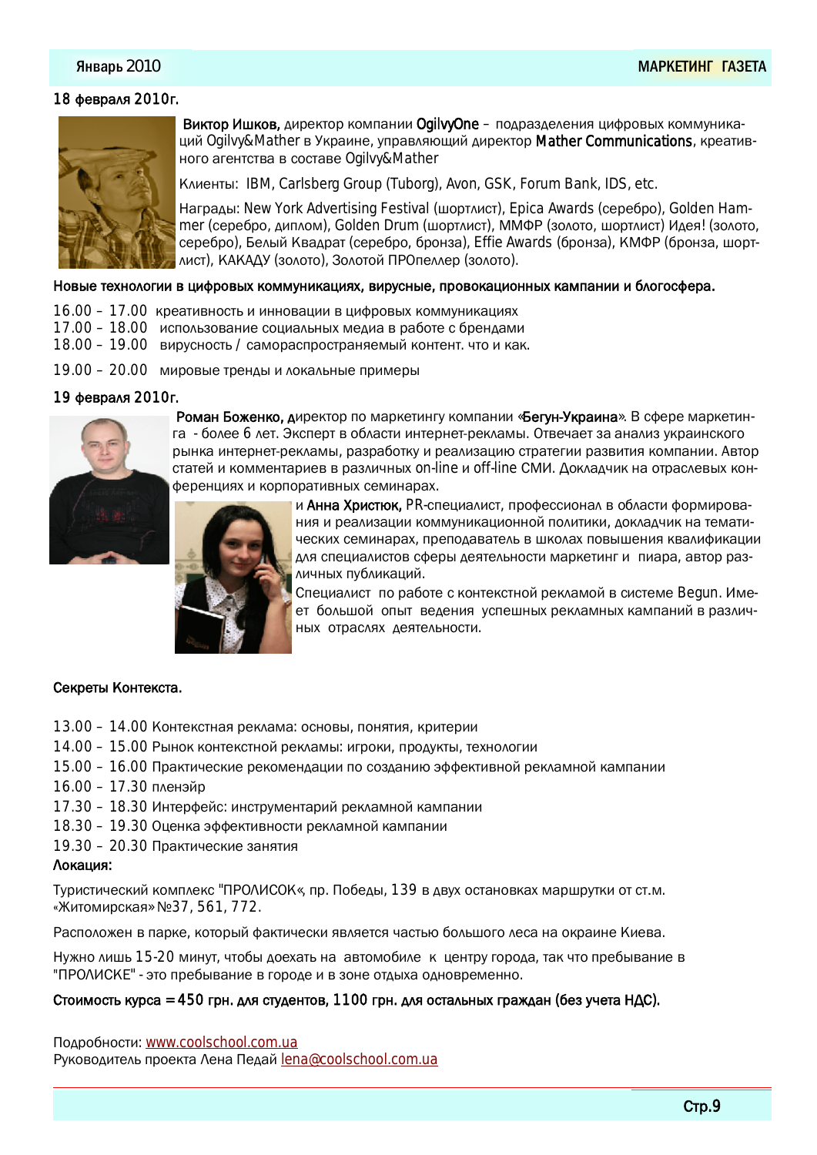#### Январь 2010

#### 18 февраля 2010г.



Виктор Ишков, директор компании OgilvyOne – подразделения цифровых коммуникаций Ogilvy&Mather в Украине, управляющий директор Mather Communications, креативного агентства в составе Ogilvy&Mather

Клиенты: IBM, Carlsberg Group (Tuborg), Avon, GSK, Forum Bank, IDS, etc.

Harpaды: New York Advertising Festival (шортлист), Epica Awards (серебро), Golden Hammer (серебро, диплом), Golden Drum (шортлист), ММФР (золото, шортлист) Идея! (золото, серебро), Белый Квадрат (серебро, бронза), Effie Awards (бронза), КМФР (бронза, шортлист), КАКАДУ (золото), Золотой ПРОпеллер (золото).

#### Новые технологии в цифровых коммуникациях, вирусные, провокационных кампании и блогосфера.

- 16.00 17.00 креативность и инновации в цифровых коммуникациях
- 17.00 18.00 использование социальных медиа в работе с брендами
- 18.00 19.00 вирусность / самораспространяемый контент. что и как.
- 19.00 20.00 мировые тренды и локальные примеры

#### 19 февраля 2010г.



Роман Боженко, директор по маркетингу компании «Бегун-Украина». В сфере маркетинга - более 6 лет. Эксперт в области интернет-рекламы. Отвечает за анализ украинского рынка интернет-рекламы, разработку и реализацию стратегии развития компании. Автор статей и комментариев в различных on-line и off-line СМИ. Докладчик на отраслевых конференциях и корпоративных семинарах.



и Анна Христюк, PR-специалист, профессионал в области формирования и реализации коммуникационной политики, докладчик на тематических семинарах, преподаватель в школах повышения квалификации для специалистов сферы деятельности маркетинг и пиара, автор различных публикаций.

Специалист по работе с контекстной рекламой в системе Begun. Имеет большой опыт ведения успешных рекламных кампаний в различ-НЫХ ОТРАСЛЯХ ДЕЯТЕЛЬНОСТИ.

#### Секреты Контекста.

- 13.00 14.00 Контекстная реклама: основы, понятия, критерии
- 14.00 15.00 Рынок контекстной рекламы: игроки, продукты, технологии
- 15.00 16.00 Практические рекомендации по созданию эффективной рекламной кампании
- 16.00 17.30 пленэйр
- 17.30 18.30 Интерфейс: инструментарий рекламной кампании
- 18.30 19.30 Оценка эффективности рекламной кампании
- 19.30 20.30 Практические занятия

#### Локация:

Туристический комплекс "ПРОЛИСОК«, пр. Победы, 139 в двух остановках маршрутки от ст.м. «Житомирская» №37, 561, 772.

Расположен в парке, который фактически является частью большого леса на окраине Киева.

Нужно лишь 15-20 минут, чтобы доехать на автомобиле к центру города, так что пребывание в "ПРОЛИСКЕ" - это пребывание в городе и в зоне отдыха одновременно.

#### Стоимость курса = 450 грн. для студентов, 1100 грн. для остальных граждан (без учета НДС).

Подробности: [www.coolschool.com.ua](http://www.coolschool.com.ua) Руководитель проекта Лена Педай [lena@coolschool.com.ua](mailto:lena@coolschool.com.ua)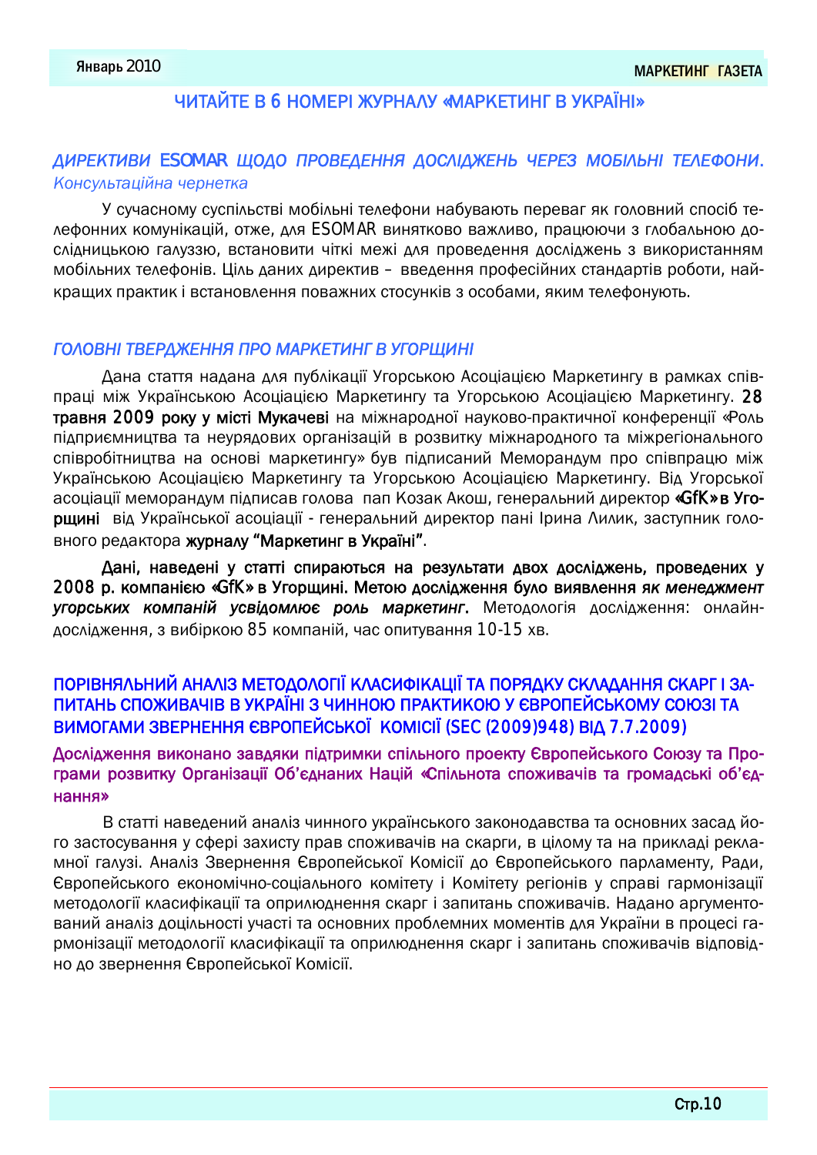## ЧИТАЙТЕ В 6 НОМЕРІ ЖУРНАЛУ «МАРКЕТИНГ В УКРАЇНІ»

## *ǐǔǜǑǖǞǔǎǔ ESOMAR ǥǚǐǚ ǛǜǚǎǑǐǑǙǙǫ ǐǚǝǗǃǐǒǑǙǨ ǣǑǜǑǓ ǘǚǍǃǗǨǙǃ ǞǑǗǑǠǚǙǔ.* Консультаційна чернетка

У сучасному суспільстві мобільні телефони набувають переваг як головний спосіб телефонних комунікацій, отже, для ESOMAR винятково важливо, працюючи з глобальною до-СЛІДНИЦЬКОЮ ГАЛУЗЗЮ, ВСТАНОВИТИ ЧІТКІ МЕЖІ ДЛЯ ПРОВЕДЕННЯ ДОСЛІДЖЕНЬ З ВИКОРИСТАННЯМ мобільних телефонів. Ціль даних директив – введення професійних стандартів роботи, найкращих практик і встановлення поважних стосунків з особами, яким телефонують.

#### ГОЛОВНІ ТВЕРДЖЕННЯ ПРО МАРКЕТИНГ В УГОРЩИНІ

Дана стаття надана для публікації Угорською Асоціацією Маркетингу в рамках співпраці між Українською Асоціацією Маркетингу та Угорською Асоціацією Маркетингу. 28 травня 2009 року у місті Мукачеві на міжнародної науково-практичної конференції «Роль підприємництва та неурядових організацій в розвитку міжнародного та міжрегіонального співробітництва на основі маркетингу» був підписаний Меморандум про співпрацю між Українською Асоціацією Маркетингу та Угорською Асоціацією Маркетингу. Від Угорської асоціації меморандум підписав голова пап Козак Акош, генеральний директор «GfK» в Угорщині від Української асоціації - генеральний директор пані Ірина Лилик, заступник головного редактора журналу "Маркетинг в Україні".

Дані, наведені у статті спираються на результати двох досліджень, проведених у 2008 р. компанією «GfK» в Угорщині. Метою дослідження було виявлення як менеджмент **УГОРСЬКИХ КОМПАНІЙ УСВІДОМЛЮЄ РОЛЬ МАРКЕТИНГ.** МЕТОДОЛОГІЯ ДОСЛІДЖЕННЯ: ОНЛАЙНдослідження, з вибіркою 85 компаній, час опитування 10-15 хв.

## ПОРІВНЯЛЬНИЙ АНАЛІЗ МЕТОДОЛОГІЇ КЛАСИФІКАЦІЇ ТА ПОРЯДКУ СКЛАДАННЯ СКАРГ І ЗА-ПИТАНЬ СПОЖИВАЧІВ В УКРАЇНІ З ЧИННОЮ ПРАКТИКОЮ У ЄВРОПЕЙСЬКОМУ СОЮЗІ ТА BUMOTAMU ЗВЕРНЕННЯ ЄВРОПЕЙСЬКОЇ КОМІСІЇ (SEC (2009)948) ВІД 7.7.2009)

## Дослідження виконано завдяки підтримки спільного проекту Європейського Союзу та Програми розвитку Організації Об'єднаних Націй «Спільнота споживачів та громадські об'єднання»

В статті наведений аналіз чинного українського законодавства та основних засад його застосування у сфері захисту прав споживачів на скарги, в цілому та на прикладі рекламної галузі. Аналіз Звернення Європейської Комісії до Європейського парламенту, Ради, Свропейського економічно-соціального комітету і Комітету регіонів у справі гармонізації методології класифікації та оприлюднення скарг і запитань споживачів. Надано аргументований аналіз доцільності участі та основних проблемних моментів для України в процесі гармонізації методології класифікації та оприлюднення скарг і запитань споживачів відповідно до звернення Європейської Комісії.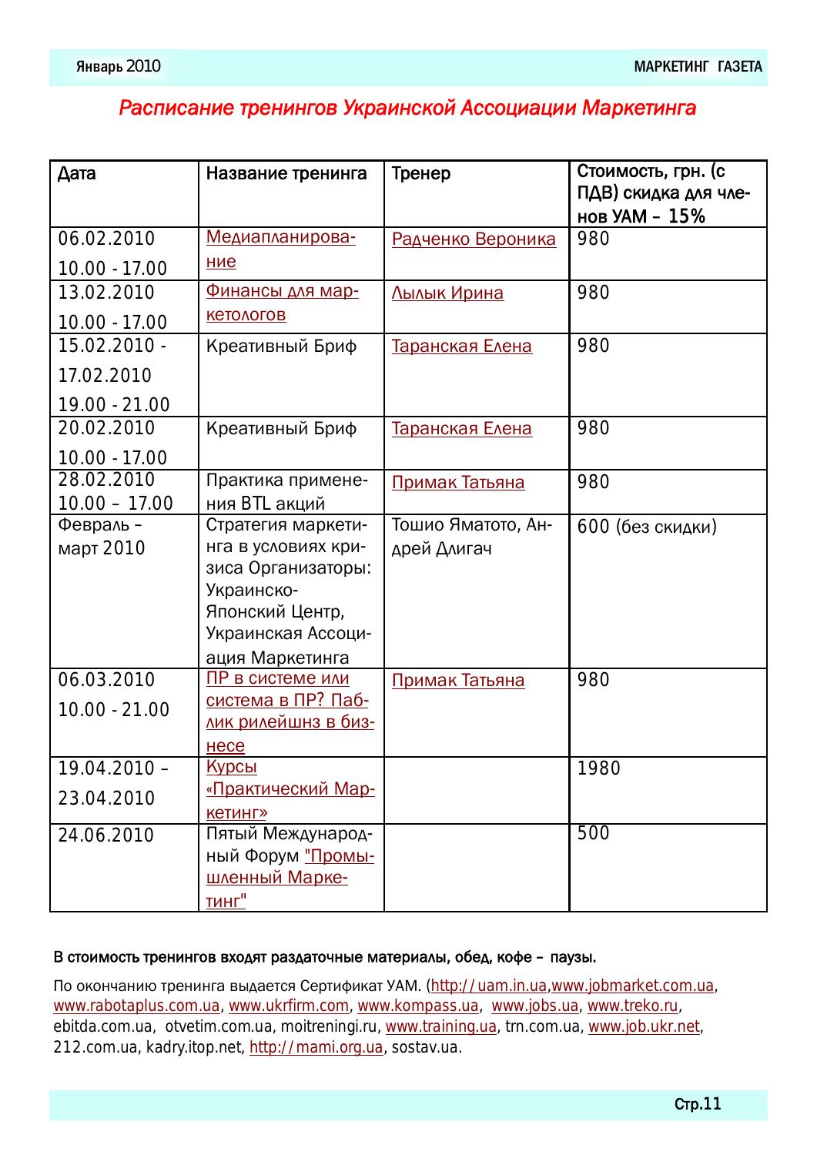## Расписание тренингов Украинской Ассоциации Маркетинга

| Дата            | Название тренинга                                | Тренер                 | Стоимость, грн. (с<br>ПДВ) скидка для чле- |
|-----------------|--------------------------------------------------|------------------------|--------------------------------------------|
| 06.02.2010      | Медиапланирова-                                  | Радченко Вероника      | нов УАМ - 15%<br>980                       |
| 10.00 - 17.00   | ние                                              |                        |                                            |
| 13.02.2010      | Финансы для мар-                                 | Лылык Ирина            | 980                                        |
| $10.00 - 17.00$ | <b>КЕТОЛОГОВ</b>                                 |                        |                                            |
| 15.02.2010 -    | Креативный Бриф                                  | <u>Таранская Елена</u> | 980                                        |
| 17.02.2010      |                                                  |                        |                                            |
| 19.00 - 21.00   |                                                  |                        |                                            |
| 20.02.2010      | Креативный Бриф                                  | Таранская Елена        | 980                                        |
| 10.00 - 17.00   |                                                  |                        |                                            |
| 28.02.2010      | Практика примене-                                | Примак Татьяна         | 980                                        |
| $10.00 - 17.00$ | ния BTL акций                                    |                        |                                            |
| Февраль -       | Стратегия маркети-                               | Тошио Яматото, Ан-     | 600 (без скидки)                           |
| март 2010       | нга в условиях кри-<br>зиса Организаторы:        | дрей Длигач            |                                            |
|                 | Украинско-                                       |                        |                                            |
|                 | Японский Центр,                                  |                        |                                            |
|                 | Украинская Ассоци-                               |                        |                                            |
|                 | ация Маркетинга                                  |                        |                                            |
| 06.03.2010      | ПР в системе или                                 | Примак Татьяна         | 980                                        |
| $10.00 - 21.00$ | система в ПР? Паб-<br><u>лик рилейшнз в биз-</u> |                        |                                            |
|                 | несе                                             |                        |                                            |
| $19.04.2010 -$  | <u>Курсы</u>                                     |                        | 1980                                       |
| 23.04.2010      | «Практический Мар-                               |                        |                                            |
|                 | <b>КЕТИНГ»</b>                                   |                        |                                            |
| 24.06.2010      | Пятый Международ-                                |                        | 500                                        |
|                 | ный Форум "Промы-                                |                        |                                            |
|                 | шленный Марке-                                   |                        |                                            |
|                 | <u>тинг"</u>                                     |                        |                                            |

#### В стоимость тренингов входят раздаточные материалы, обед, кофе – паузы.

По окончанию тренинга выдается Сертификат УАМ. [\(http://uam.in.ua,](http://uam.in.ua)www.jobmarket.com.ua, [www.rabotaplus.com.ua,](http://www.rabotaplus.com.ua) [www.ukrfirm.com,](http://www.ukrfirm.com) [www.kompass.ua](http://www.kompass.ua), [www.jobs.ua,](http://www.jobs.ua) [www.treko.ru](http://www.treko.ru), ebitda.com.ua, otvetim.com.ua, moitreningi.ru, [www.training.ua](http://www.training.ua), trn.com.ua, [www.job.ukr.net](http://www.job.ukr.net), 212.com.ua, kadry.itop.net, [http://mami.org.ua,](http://mami.org.ua) sostav.ua.